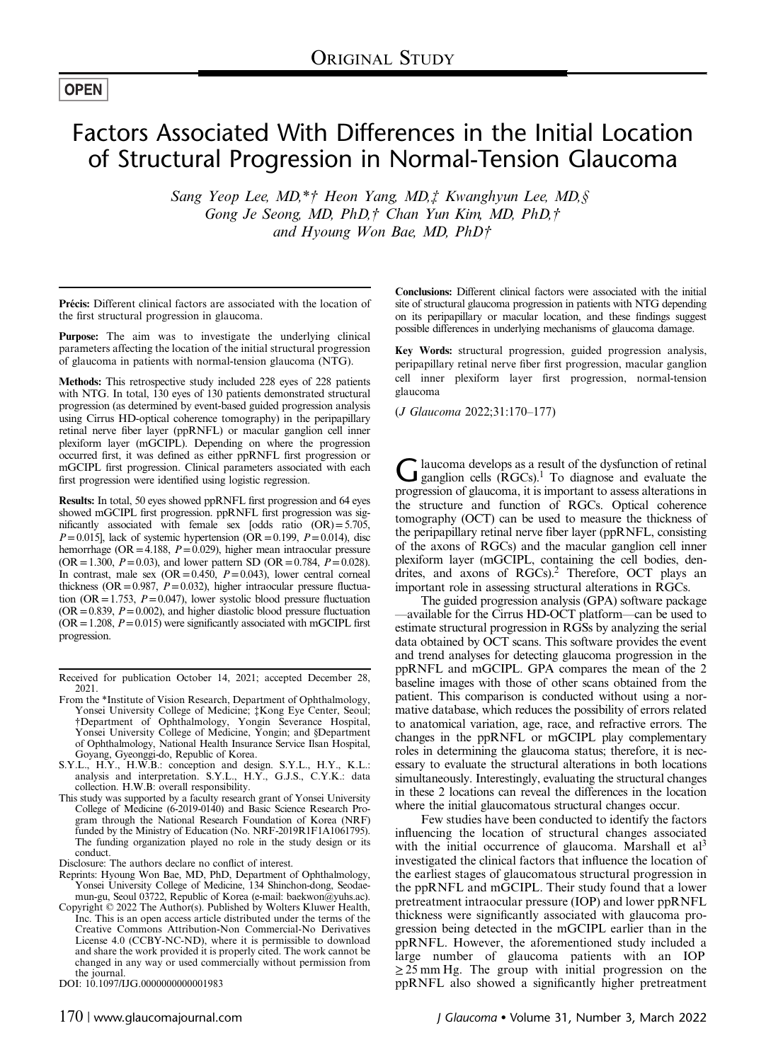## **OPEN**

# Factors Associated With Differences in the Initial Location of Structural Progression in Normal-Tension Glaucoma

Sang Yeop Lee, MD,\*† Heon Yang, MD,‡ Kwanghyun Lee, MD,§ Gong Je Seong, MD, PhD,† Chan Yun Kim, MD, PhD,† and Hyoung Won Bae, MD, PhD†

Précis: Different clinical factors are associated with the location of the first structural progression in glaucoma.

Purpose: The aim was to investigate the underlying clinical parameters affecting the location of the initial structural progression of glaucoma in patients with normal-tension glaucoma (NTG).

Methods: This retrospective study included 228 eyes of 228 patients with NTG. In total, 130 eyes of 130 patients demonstrated structural progression (as determined by event-based guided progression analysis using Cirrus HD-optical coherence tomography) in the peripapillary retinal nerve fiber layer (ppRNFL) or macular ganglion cell inner plexiform layer (mGCIPL). Depending on where the progression occurred first, it was defined as either ppRNFL first progression or mGCIPL first progression. Clinical parameters associated with each first progression were identified using logistic regression.

Results: In total, 50 eyes showed ppRNFL first progression and 64 eyes showed mGCIPL first progression. ppRNFL first progression was significantly associated with female sex [odds ratio (OR)=5.705,  $P=0.015$ ], lack of systemic hypertension (OR = 0.199,  $P=0.014$ ), disc hemorrhage (OR = 4.188,  $P = 0.029$ ), higher mean intraocular pressure (OR = 1.300,  $P = 0.03$ ), and lower pattern SD (OR = 0.784,  $P = 0.028$ ). In contrast, male sex  $(OR = 0.450, P = 0.043)$ , lower central corneal thickness (OR = 0.987,  $P = 0.032$ ), higher intraocular pressure fluctuation (OR = 1.753,  $P = 0.047$ ), lower systolic blood pressure fluctuation  $(OR = 0.839, P = 0.002)$ , and higher diastolic blood pressure fluctuation  $(OR = 1.208, P = 0.015)$  were significantly associated with mGCIPL first progression.

- From the \*Institute of Vision Research, Department of Ophthalmology, Yonsei University College of Medicine; ‡Kong Eye Center, Seoul; †Department of Ophthalmology, Yongin Severance Hospital, Yonsei University College of Medicine, Yongin; and §Department of Ophthalmology, National Health Insurance Service Ilsan Hospital,
- Goyang, Gyeonggi-do, Republic of Korea.<br>S.Y.L., H.Y., H.W.B.: conception and design. S.Y.L., H.Y., K.L.: analysis and interpretation. S.Y.L., H.Y., G.J.S., C.Y.K.: data collection. H.W.B: overall responsibility.
- This study was supported by a faculty research grant of Yonsei University College of Medicine (6-2019-0140) and Basic Science Research Program through the National Research Foundation of Korea (NRF) funded by the Ministry of Education (No. NRF-2019R1F1A1061795). The funding organization played no role in the study design or its conduct.

Disclosure: The authors declare no conflict of interest.

- Reprints: Hyoung Won Bae, MD, PhD, Department of Ophthalmology, Yonsei University College of Medicine, 134 Shinchon-dong, Seodaemun-gu, Seoul 03722, Republic of Korea (e-mail: [baekwon@yuhs.ac\)](mailto:baekwon@yuhs.ac).
- Copyright © 2022 The Author(s). Published by Wolters Kluwer Health, Inc. This is an open access article distributed under the terms of the [Creative Commons Attribution-Non Commercial-No Derivatives](http://creativecommons.org/licenses/by-nc-nd/4.0/) [License 4.0](http://creativecommons.org/licenses/by-nc-nd/4.0/) (CCBY-NC-ND), where it is permissible to download and share the work provided it is properly cited. The work cannot be changed in any way or used commercially without permission from the journal.

Conclusions: Different clinical factors were associated with the initial site of structural glaucoma progression in patients with NTG depending on its peripapillary or macular location, and these findings suggest possible differences in underlying mechanisms of glaucoma damage.

Key Words: structural progression, guided progression analysis, peripapillary retinal nerve fiber first progression, macular ganglion cell inner plexiform layer first progression, normal-tension glaucoma

(J Glaucoma 2022;31:170–177)

Glaucoma develops as a result of the dysfunction of retinal<br>ganglion cells (RGCs).<sup>1</sup> To diagnose and evaluate the progression of glaucoma, it is important to assess alterations in the structure and function of RGCs. Optical coherence tomography (OCT) can be used to measure the thickness of the peripapillary retinal nerve fiber layer (ppRNFL, consisting of the axons of RGCs) and the macular ganglion cell inner plexiform layer (mGCIPL, containing the cell bodies, dendrites, and axons of RGCs).<sup>2</sup> Therefore, OCT plays an important role in assessing structural alterations in RGCs.

The guided progression analysis (GPA) software package —available for the Cirrus HD-OCT platform—can be used to estimate structural progression in RGSs by analyzing the serial data obtained by OCT scans. This software provides the event and trend analyses for detecting glaucoma progression in the ppRNFL and mGCIPL. GPA compares the mean of the 2 baseline images with those of other scans obtained from the patient. This comparison is conducted without using a normative database, which reduces the possibility of errors related to anatomical variation, age, race, and refractive errors. The changes in the ppRNFL or mGCIPL play complementary roles in determining the glaucoma status; therefore, it is necessary to evaluate the structural alterations in both locations simultaneously. Interestingly, evaluating the structural changes in these 2 locations can reveal the differences in the location where the initial glaucomatous structural changes occur.

Few studies have been conducted to identify the factors influencing the location of structural changes associated with the initial occurrence of glaucoma. Marshall et  $al<sup>3</sup>$  $al<sup>3</sup>$  $al<sup>3</sup>$ investigated the clinical factors that influence the location of the earliest stages of glaucomatous structural progression in the ppRNFL and mGCIPL. Their study found that a lower pretreatment intraocular pressure (IOP) and lower ppRNFL thickness were significantly associated with glaucoma progression being detected in the mGCIPL earlier than in the ppRNFL. However, the aforementioned study included a large number of glaucoma patients with an IOP  $\geq$  25 mm Hg. The group with initial progression on the DOI: 10.1097/IJG.0000000000001983 ppRNFL also showed a significantly higher pretreatment

Received for publication October 14, 2021; accepted December 28, 2021.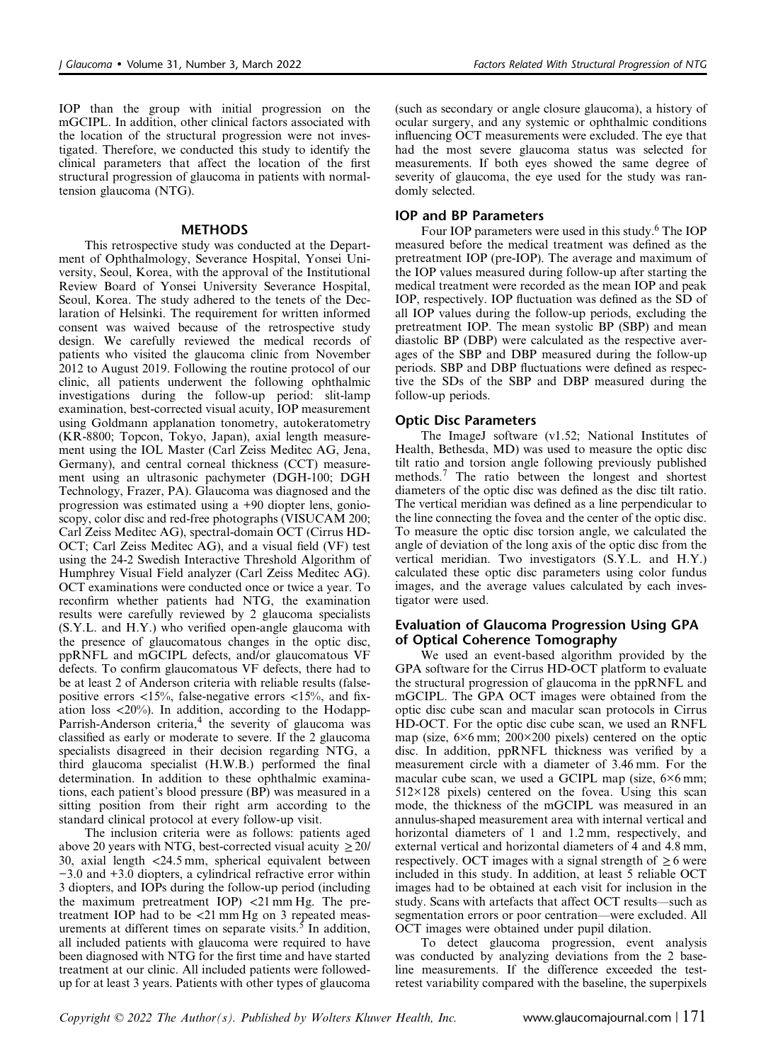IOP than the group with initial progression on the mGCIPL. In addition, other clinical factors associated with the location of the structural progression were not investigated. Therefore, we conducted this study to identify the clinical parameters that affect the location of the first structural progression of glaucoma in patients with normaltension glaucoma (NTG).

#### **METHODS**

This retrospective study was conducted at the Department of Ophthalmology, Severance Hospital, Yonsei University, Seoul, Korea, with the approval of the Institutional Review Board of Yonsei University Severance Hospital, Seoul, Korea. The study adhered to the tenets of the Declaration of Helsinki. The requirement for written informed consent was waived because of the retrospective study design. We carefully reviewed the medical records of patients who visited the glaucoma clinic from November 2012 to August 2019. Following the routine protocol of our clinic, all patients underwent the following ophthalmic investigations during the follow-up period: slit-lamp examination, best-corrected visual acuity, IOP measurement using Goldmann applanation tonometry, autokeratometry (KR-8800; Topcon, Tokyo, Japan), axial length measurement using the IOL Master (Carl Zeiss Meditec AG, Jena, Germany), and central corneal thickness (CCT) measurement using an ultrasonic pachymeter (DGH-100; DGH Technology, Frazer, PA). Glaucoma was diagnosed and the progression was estimated using a +90 diopter lens, gonioscopy, color disc and red-free photographs (VISUCAM 200; Carl Zeiss Meditec AG), spectral-domain OCT (Cirrus HD-OCT; Carl Zeiss Meditec AG), and a visual field (VF) test using the 24-2 Swedish Interactive Threshold Algorithm of Humphrey Visual Field analyzer (Carl Zeiss Meditec AG). OCT examinations were conducted once or twice a year. To reconfirm whether patients had NTG, the examination results were carefully reviewed by 2 glaucoma specialists (S.Y.L. and H.Y.) who verified open-angle glaucoma with the presence of glaucomatous changes in the optic disc, ppRNFL and mGCIPL defects, and/or glaucomatous VF defects. To confirm glaucomatous VF defects, there had to be at least 2 of Anderson criteria with reliable results (falsepositive errors  $\langle 15\% \rangle$ , false-negative errors  $\langle 15\% \rangle$ , and fixation loss <20%). In addition, according to the Hodapp-Parrish-Anderson criteria, $4$  the severity of glaucoma was classified as early or moderate to severe. If the 2 glaucoma specialists disagreed in their decision regarding NTG, a third glaucoma specialist (H.W.B.) performed the final determination. In addition to these ophthalmic examinations, each patient's blood pressure (BP) was measured in a sitting position from their right arm according to the standard clinical protocol at every follow-up visit.

The inclusion criteria were as follows: patients aged above 20 years with NTG, best-corrected visual acuity  $\geq 20/$ 30, axial length <24.5 mm, spherical equivalent between −3.0 and +3.0 diopters, a cylindrical refractive error within 3 diopters, and IOPs during the follow-up period (including the maximum pretreatment IOP) <21 mm Hg. The pretreatment IOP had to be <21 mm Hg on 3 repeated meas-urements at different times on separate visits.<sup>[5](#page-6-0)</sup> In addition, all included patients with glaucoma were required to have been diagnosed with NTG for the first time and have started treatment at our clinic. All included patients were followedup for at least 3 years. Patients with other types of glaucoma

(such as secondary or angle closure glaucoma), a history of ocular surgery, and any systemic or ophthalmic conditions influencing OCT measurements were excluded. The eye that had the most severe glaucoma status was selected for measurements. If both eyes showed the same degree of severity of glaucoma, the eye used for the study was randomly selected.

#### IOP and BP Parameters

Four IOP parameters were used in this study.<sup>6</sup> The IOP measured before the medical treatment was defined as the pretreatment IOP (pre-IOP). The average and maximum of the IOP values measured during follow-up after starting the medical treatment were recorded as the mean IOP and peak IOP, respectively. IOP fluctuation was defined as the SD of all IOP values during the follow-up periods, excluding the pretreatment IOP. The mean systolic BP (SBP) and mean diastolic BP (DBP) were calculated as the respective averages of the SBP and DBP measured during the follow-up periods. SBP and DBP fluctuations were defined as respective the SDs of the SBP and DBP measured during the follow-up periods.

#### Optic Disc Parameters

The ImageJ software (v1.52; National Institutes of Health, Bethesda, MD) was used to measure the optic disc tilt ratio and torsion angle following previously published methods.[7](#page-6-0) The ratio between the longest and shortest diameters of the optic disc was defined as the disc tilt ratio. The vertical meridian was defined as a line perpendicular to the line connecting the fovea and the center of the optic disc. To measure the optic disc torsion angle, we calculated the angle of deviation of the long axis of the optic disc from the vertical meridian. Two investigators (S.Y.L. and H.Y.) calculated these optic disc parameters using color fundus images, and the average values calculated by each investigator were used.

#### Evaluation of Glaucoma Progression Using GPA of Optical Coherence Tomography

We used an event-based algorithm provided by the GPA software for the Cirrus HD-OCT platform to evaluate the structural progression of glaucoma in the ppRNFL and mGCIPL. The GPA OCT images were obtained from the optic disc cube scan and macular scan protocols in Cirrus HD-OCT. For the optic disc cube scan, we used an RNFL map (size, 6×6 mm; 200×200 pixels) centered on the optic disc. In addition, ppRNFL thickness was verified by a measurement circle with a diameter of 3.46 mm. For the macular cube scan, we used a GCIPL map (size, 6×6 mm;  $512\times128$  pixels) centered on the fovea. Using this scan mode, the thickness of the mGCIPL was measured in an annulus-shaped measurement area with internal vertical and horizontal diameters of 1 and 1.2 mm, respectively, and external vertical and horizontal diameters of 4 and 4.8 mm, respectively. OCT images with a signal strength of  $\geq 6$  were included in this study. In addition, at least 5 reliable OCT images had to be obtained at each visit for inclusion in the study. Scans with artefacts that affect OCT results—such as segmentation errors or poor centration—were excluded. All OCT images were obtained under pupil dilation.

To detect glaucoma progression, event analysis was conducted by analyzing deviations from the 2 baseline measurements. If the difference exceeded the testretest variability compared with the baseline, the superpixels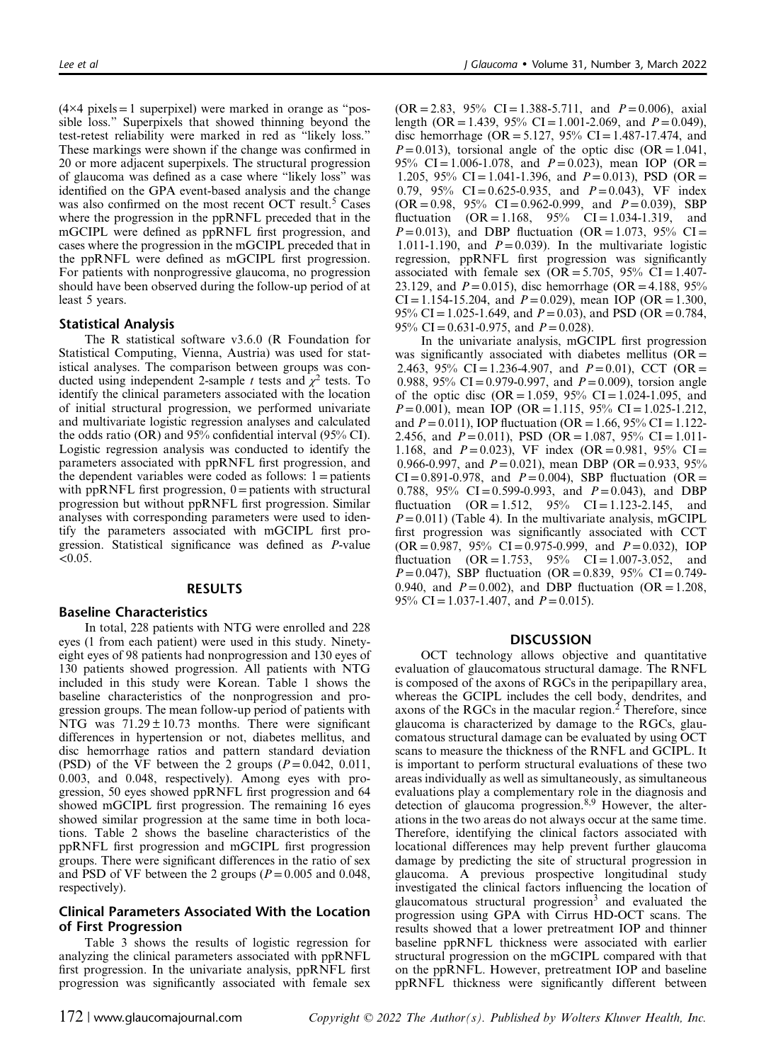$(4\times4$  pixels = 1 superpixel) were marked in orange as "possible loss." Superpixels that showed thinning beyond the test-retest reliability were marked in red as "likely loss." These markings were shown if the change was confirmed in 20 or more adjacent superpixels. The structural progression of glaucoma was defined as a case where "likely loss" was identified on the GPA event-based analysis and the change was also confirmed on the most recent OCT result.<sup>[5](#page-6-0)</sup> Cases where the progression in the ppRNFL preceded that in the mGCIPL were defined as ppRNFL first progression, and cases where the progression in the mGCIPL preceded that in the ppRNFL were defined as mGCIPL first progression. For patients with nonprogressive glaucoma, no progression should have been observed during the follow-up period of at least 5 years.

### Statistical Analysis

The R statistical software v3.6.0 (R Foundation for Statistical Computing, Vienna, Austria) was used for statistical analyses. The comparison between groups was conducted using independent 2-sample t tests and  $\chi^2$  tests. To identify the clinical parameters associated with the location of initial structural progression, we performed univariate and multivariate logistic regression analyses and calculated the odds ratio (OR) and 95% confidential interval (95% CI). Logistic regression analysis was conducted to identify the parameters associated with ppRNFL first progression, and the dependent variables were coded as follows:  $1 =$  patients with pp $R$ NFL first progression,  $0 =$  patients with structural progression but without ppRNFL first progression. Similar analyses with corresponding parameters were used to identify the parameters associated with mGCIPL first progression. Statistical significance was defined as P-value  $<0.05$ .

#### RESULTS

#### Baseline Characteristics

In total, 228 patients with NTG were enrolled and 228 eyes (1 from each patient) were used in this study. Ninetyeight eyes of 98 patients had nonprogression and 130 eyes of 130 patients showed progression. All patients with NTG included in this study were Korean. [Table 1](#page-3-0) shows the baseline characteristics of the nonprogression and progression groups. The mean follow-up period of patients with NTG was  $71.29 \pm 10.73$  months. There were significant differences in hypertension or not, diabetes mellitus, and disc hemorrhage ratios and pattern standard deviation (PSD) of the VF between the 2 groups  $(P=0.042, 0.011,$ 0.003, and 0.048, respectively). Among eyes with progression, 50 eyes showed ppRNFL first progression and 64 showed mGCIPL first progression. The remaining 16 eyes showed similar progression at the same time in both locations. [Table 2](#page-4-0) shows the baseline characteristics of the ppRNFL first progression and mGCIPL first progression groups. There were significant differences in the ratio of sex and PSD of VF between the 2 groups ( $P = 0.005$  and 0.048, respectively).

#### Clinical Parameters Associated With the Location of First Progression

[Table 3](#page-4-0) shows the results of logistic regression for analyzing the clinical parameters associated with ppRNFL first progression. In the univariate analysis, ppRNFL first progression was significantly associated with female sex  $(OR = 2.83, 95\% \text{ CI} = 1.388 - 5.711, \text{ and } P = 0.006)$ , axial length (OR = 1.439, 95% CI = 1.001-2.069, and  $P = 0.049$ ), disc hemorrhage (OR = 5.127, 95% CI = 1.487-17.474, and  $P=0.013$ ), torsional angle of the optic disc (OR = 1.041, 95% CI = 1.006-1.078, and  $P = 0.023$ ), mean IOP (OR = 1.205, 95% CI = 1.041-1.396, and  $P = 0.013$ ), PSD (OR = 0.79, 95% CI=0.625-0.935, and  $P = 0.043$ ), VF index  $(OR = 0.98, 95\% \text{ CI} = 0.962 - 0.999, \text{ and } P = 0.039), SBP$ fluctuation  $(OR = 1.168, 95\% \text{ CI} = 1.034-1.319, \text{and}$  $P=0.013$ ), and DBP fluctuation (OR = 1.073, 95% CI = 1.011-1.190, and  $P=0.039$ . In the multivariate logistic regression, ppRNFL first progression was significantly associated with female sex  $(OR = 5.705, 95\% \text{ CI} = 1.407$ -23.129, and  $P = 0.015$ ), disc hemorrhage (OR = 4.188, 95%)  $CI = 1.154 - 15.204$ , and  $P = 0.029$ ), mean IOP (OR = 1.300, 95% CI = 1.025-1.649, and  $P = 0.03$ ), and PSD (OR = 0.784, 95% CI = 0.631-0.975, and  $P = 0.028$ ).

In the univariate analysis, mGCIPL first progression was significantly associated with diabetes mellitus  $(OR =$ 2.463, 95% CI=1.236-4.907, and  $P=0.01$ ), CCT (OR = 0.988, 95% CI = 0.979-0.997, and  $P = 0.009$ , torsion angle of the optic disc (OR = 1.059, 95% CI = 1.024-1.095, and  $P=0.001$ ), mean IOP (OR = 1.115, 95% CI = 1.025-1.212, and  $P = 0.011$ ), IOP fluctuation (OR = 1.66, 95% CI = 1.122-2.456, and  $P = 0.011$ ), PSD (OR = 1.087, 95% CI = 1.011-1.168, and  $P = 0.023$ ), VF index (OR = 0.981, 95% CI = 0.966-0.997, and  $P = 0.021$ ), mean DBP (OR = 0.933, 95%)  $CI = 0.891 - 0.978$ , and  $P = 0.004$ ), SBP fluctuation (OR = 0.788, 95% CI=0.599-0.993, and  $P=0.043$ ), and DBP fluctuation  $(OR = 1.512, 95\% \text{ CI} = 1.123-2.145, \text{and}$  $P=0.011$ ) [\(Table 4](#page-5-0)). In the multivariate analysis, mGCIPL first progression was significantly associated with CCT  $(OR = 0.987, 95\% \text{ CI} = 0.975 - 0.999, \text{ and } P = 0.032), \text{IOP}$ fluctuation  $(OR = 1.753, 95\% \text{ CI} = 1.007-3.052, \text{and}$  $P=0.047$ ), SBP fluctuation (OR = 0.839, 95% CI = 0.749-0.940, and  $P = 0.002$ ), and DBP fluctuation (OR = 1.208, 95% CI = 1.037-1.407, and  $P = 0.015$ ).

#### **DISCUSSION**

OCT technology allows objective and quantitative evaluation of glaucomatous structural damage. The RNFL is composed of the axons of RGCs in the peripapillary area, whereas the GCIPL includes the cell body, dendrites, and axons of the RGCs in the macular region.<sup>[2](#page-6-0)</sup> Therefore, since glaucoma is characterized by damage to the RGCs, glaucomatous structural damage can be evaluated by using OCT scans to measure the thickness of the RNFL and GCIPL. It is important to perform structural evaluations of these two areas individually as well as simultaneously, as simultaneous evaluations play a complementary role in the diagnosis and detection of glaucoma progression.<sup>[8,9](#page-6-0)</sup> However, the alterations in the two areas do not always occur at the same time. Therefore, identifying the clinical factors associated with locational differences may help prevent further glaucoma damage by predicting the site of structural progression in glaucoma. A previous prospective longitudinal study investigated the clinical factors influencing the location of glaucomatous structural progression<sup>[3](#page-6-0)</sup> and evaluated the progression using GPA with Cirrus HD-OCT scans. The results showed that a lower pretreatment IOP and thinner baseline ppRNFL thickness were associated with earlier structural progression on the mGCIPL compared with that on the ppRNFL. However, pretreatment IOP and baseline ppRNFL thickness were significantly different between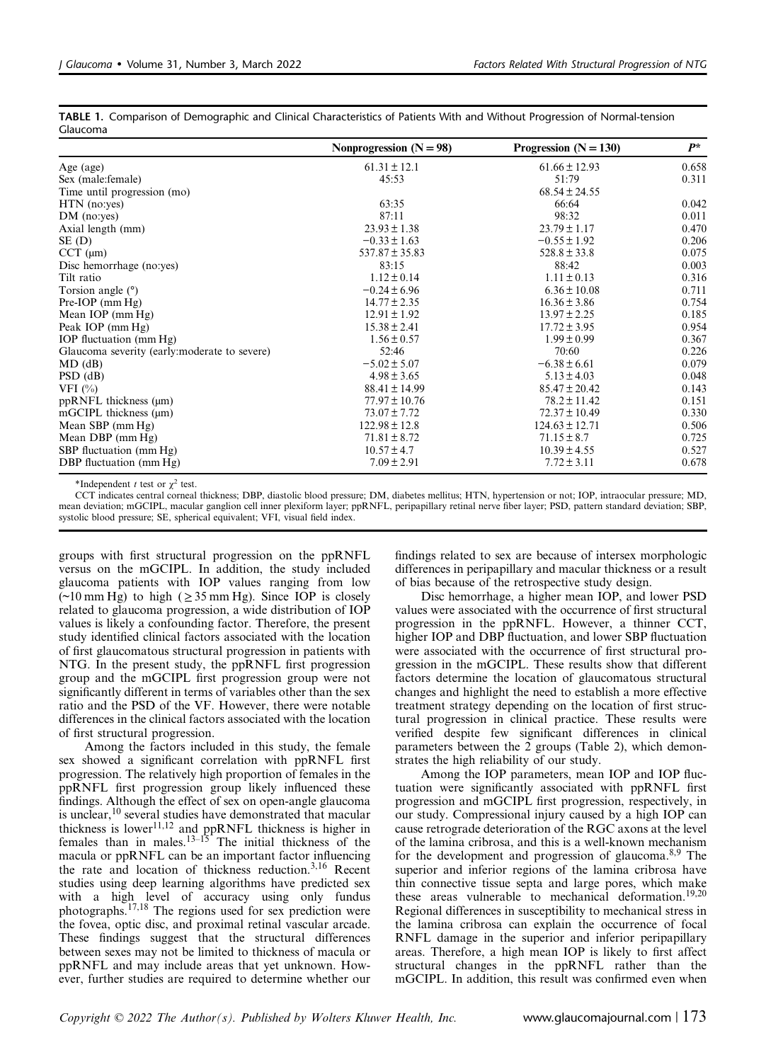|                                               | Nonprogression $(N = 98)$ | Progression $(N = 130)$ | $P^*$ |
|-----------------------------------------------|---------------------------|-------------------------|-------|
| Age (age)                                     | $61.31 \pm 12.1$          | $61.66 \pm 12.93$       | 0.658 |
| Sex (male: female)                            | 45:53                     | 51:79                   | 0.311 |
| Time until progression (mo)                   |                           | $68.54 \pm 24.55$       |       |
| $HTN$ (no:yes)                                | 63:35                     | 66:64                   | 0.042 |
| $DM$ (no:yes)                                 | 87:11                     | 98:32                   | 0.011 |
| Axial length (mm)                             | $23.93 \pm 1.38$          | $23.79 \pm 1.17$        | 0.470 |
| SE (D)                                        | $-0.33 \pm 1.63$          | $-0.55 \pm 1.92$        | 0.206 |
| $CCT$ ( $\mu$ m)                              | $537.87 \pm 35.83$        | $528.8 \pm 33.8$        | 0.075 |
| Disc hemorrhage (no:yes)                      | 83:15                     | 88:42                   | 0.003 |
| Tilt ratio                                    | $1.12 \pm 0.14$           | $1.11 \pm 0.13$         | 0.316 |
| Torsion angle $(°)$                           | $-0.24 \pm 6.96$          | $6.36 \pm 10.08$        | 0.711 |
| $Pre-IOP$ (mm $Hg$ )                          | $14.77 \pm 2.35$          | $16.36 \pm 3.86$        | 0.754 |
| Mean IOP (mm Hg)                              | $12.91 \pm 1.92$          | $13.97 \pm 2.25$        | 0.185 |
| Peak IOP (mm Hg)                              | $15.38 \pm 2.41$          | $17.72 \pm 3.95$        | 0.954 |
| IOP fluctuation (mm Hg)                       | $1.56 \pm 0.57$           | $1.99 \pm 0.99$         | 0.367 |
| Glaucoma severity (early: moderate to severe) | 52:46                     | 70:60                   | 0.226 |
| $MD$ (dB)                                     | $-5.02 \pm 5.07$          | $-6.38 \pm 6.61$        | 0.079 |
| $PSD$ (dB)                                    | $4.98 \pm 3.65$           | $5.13 \pm 4.03$         | 0.048 |
| VFI $(\% )$                                   | $88.41 \pm 14.99$         | $85.47 \pm 20.42$       | 0.143 |
| $ppRNFL$ thickness ( $\mu$ m)                 | $77.97 \pm 10.76$         | $78.2 \pm 11.42$        | 0.151 |
| $mGCIPL$ thickness $(\mu m)$                  | $73.07 \pm 7.72$          | $72.37 \pm 10.49$       | 0.330 |
| Mean SBP (mm Hg)                              | $122.98 \pm 12.8$         | $124.63 \pm 12.71$      | 0.506 |
| Mean DBP $(\text{mm Hg})$                     | $71.81 \pm 8.72$          | $71.15 \pm 8.7$         | 0.725 |
| SBP fluctuation (mm Hg)                       | $10.57 \pm 4.7$           | $10.39 \pm 4.55$        | 0.527 |
| DBP fluctuation (mm Hg)                       | $7.09 \pm 2.91$           | $7.72 \pm 3.11$         | 0.678 |

<span id="page-3-0"></span>TABLE 1. Comparison of Demographic and Clinical Characteristics of Patients With and Without Progression of Normal-tension Glaucoma

\*Independent t test or  $\gamma^2$  test.

CCT indicates central corneal thickness; DBP, diastolic blood pressure; DM, diabetes mellitus; HTN, hypertension or not; IOP, intraocular pressure; MD, mean deviation; mGCIPL, macular ganglion cell inner plexiform layer; ppRNFL, peripapillary retinal nerve fiber layer; PSD, pattern standard deviation; SBP, systolic blood pressure; SE, spherical equivalent; VFI, visual field index.

groups with first structural progression on the ppRNFL versus on the mGCIPL. In addition, the study included glaucoma patients with IOP values ranging from low  $(\sim 10 \text{ mm Hg})$  to high ( $\geq 35 \text{ mm Hg}$ ). Since IOP is closely related to glaucoma progression, a wide distribution of IOP values is likely a confounding factor. Therefore, the present study identified clinical factors associated with the location of first glaucomatous structural progression in patients with NTG. In the present study, the ppRNFL first progression group and the mGCIPL first progression group were not significantly different in terms of variables other than the sex ratio and the PSD of the VF. However, there were notable differences in the clinical factors associated with the location of first structural progression.

Among the factors included in this study, the female sex showed a significant correlation with ppRNFL first progression. The relatively high proportion of females in the ppRNFL first progression group likely influenced these findings. Although the effect of sex on open-angle glaucoma is unclear,<sup>[10](#page-6-0)</sup> several studies have demonstrated that macular thickness is lower<sup>[11,12](#page-6-0)</sup> and ppRNFL thickness is higher in females than in males. $13-15$  $13-15$  The initial thickness of the macula or ppRNFL can be an important factor influencing the rate and location of thickness reduction.[3,16](#page-6-0) Recent studies using deep learning algorithms have predicted sex with a high level of accuracy using only fundus photographs.[17,18](#page-6-0) The regions used for sex prediction were the fovea, optic disc, and proximal retinal vascular arcade. These findings suggest that the structural differences between sexes may not be limited to thickness of macula or ppRNFL and may include areas that yet unknown. However, further studies are required to determine whether our

findings related to sex are because of intersex morphologic differences in peripapillary and macular thickness or a result of bias because of the retrospective study design.

Disc hemorrhage, a higher mean IOP, and lower PSD values were associated with the occurrence of first structural progression in the ppRNFL. However, a thinner CCT, higher IOP and DBP fluctuation, and lower SBP fluctuation were associated with the occurrence of first structural progression in the mGCIPL. These results show that different factors determine the location of glaucomatous structural changes and highlight the need to establish a more effective treatment strategy depending on the location of first structural progression in clinical practice. These results were verified despite few significant differences in clinical parameters between the 2 groups [\(Table 2\)](#page-4-0), which demonstrates the high reliability of our study.

Among the IOP parameters, mean IOP and IOP fluctuation were significantly associated with ppRNFL first progression and mGCIPL first progression, respectively, in our study. Compressional injury caused by a high IOP can cause retrograde deterioration of the RGC axons at the level of the lamina cribrosa, and this is a well-known mechanism for the development and progression of glaucoma.<sup>[8,9](#page-6-0)</sup> The superior and inferior regions of the lamina cribrosa have thin connective tissue septa and large pores, which make these areas vulnerable to mechanical deformation.<sup>[19,20](#page-6-0)</sup> Regional differences in susceptibility to mechanical stress in the lamina cribrosa can explain the occurrence of focal RNFL damage in the superior and inferior peripapillary areas. Therefore, a high mean IOP is likely to first affect structural changes in the ppRNFL rather than the mGCIPL. In addition, this result was confirmed even when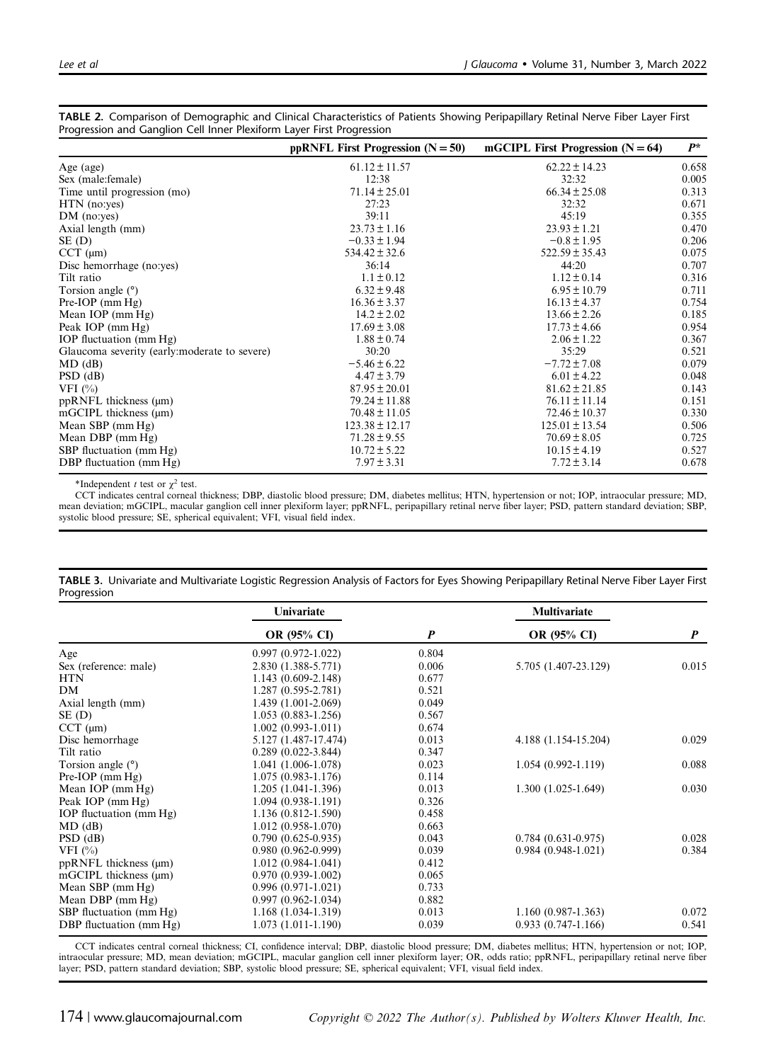|                                              | ppRNFL First Progression $(N = 50)$ | mGCIPL First Progression $(N = 64)$ | $P^*$ |
|----------------------------------------------|-------------------------------------|-------------------------------------|-------|
| Age (age)                                    | $61.12 \pm 11.57$                   | $62.22 \pm 14.23$                   | 0.658 |
| Sex (male: female)                           | 12:38                               | 32:32                               | 0.005 |
| Time until progression (mo)                  | $71.14 \pm 25.01$                   | $66.34 \pm 25.08$                   | 0.313 |
| $HTN$ (no:yes)                               | 27:23                               | 32:32                               | 0.671 |
| $DM$ (no:yes)                                | 39:11                               | 45:19                               | 0.355 |
| Axial length (mm)                            | $23.73 \pm 1.16$                    | $23.93 \pm 1.21$                    | 0.470 |
| SE (D)                                       | $-0.33 \pm 1.94$                    | $-0.8 \pm 1.95$                     | 0.206 |
| $CCT$ ( $\mu$ m)                             | $534.42 \pm 32.6$                   | $522.59 \pm 35.43$                  | 0.075 |
| Disc hemorrhage (no:yes)                     | 36:14                               | 44:20                               | 0.707 |
| Tilt ratio                                   | $1.1 \pm 0.12$                      | $1.12 \pm 0.14$                     | 0.316 |
| Torsion angle $(°)$                          | $6.32 \pm 9.48$                     | $6.95 \pm 10.79$                    | 0.711 |
| $Pre-IOP$ (mm $Hg$ )                         | $16.36 \pm 3.37$                    | $16.13 \pm 4.37$                    | 0.754 |
| Mean IOP $(\text{mm Hg})$                    | $14.2 \pm 2.02$                     | $13.66 \pm 2.26$                    | 0.185 |
| Peak IOP (mm Hg)                             | $17.69 \pm 3.08$                    | $17.73 \pm 4.66$                    | 0.954 |
| IOP fluctuation (mm Hg)                      | $1.88 \pm 0.74$                     | $2.06 \pm 1.22$                     | 0.367 |
| Glaucoma severity (early:moderate to severe) | 30:20                               | 35:29                               | 0.521 |
| $MD$ (dB)                                    | $-5.46 \pm 6.22$                    | $-7.72 \pm 7.08$                    | 0.079 |
| $PSD$ (dB)                                   | $4.47 \pm 3.79$                     | $6.01 \pm 4.22$                     | 0.048 |
| VFI $(\% )$                                  | $87.95 \pm 20.01$                   | $81.62 \pm 21.85$                   | 0.143 |
| $ppRNFL$ thickness ( $\mu$ m)                | $79.24 \pm 11.88$                   | $76.11 \pm 11.14$                   | 0.151 |
| $mGCIPL$ thickness $(\mu m)$                 | $70.48 \pm 11.05$                   | $72.46 \pm 10.37$                   | 0.330 |
| Mean SBP (mm Hg)                             | $123.38 \pm 12.17$                  | $125.01 \pm 13.54$                  | 0.506 |
| Mean DBP $(mm Hg)$                           | $71.28 \pm 9.55$                    | $70.69 \pm 8.05$                    | 0.725 |
| SBP fluctuation (mm Hg)                      | $10.72 \pm 5.22$                    | $10.15 \pm 4.19$                    | 0.527 |
| DBP fluctuation (mm Hg)                      | $7.97 \pm 3.31$                     | $7.72 \pm 3.14$                     | 0.678 |

<span id="page-4-0"></span>TABLE 2. Comparison of Demographic and Clinical Characteristics of Patients Showing Peripapillary Retinal Nerve Fiber Layer First Progression and Ganglion Cell Inner Plexiform Layer First Progression

\*Independent t test or  $\chi^2$  test.

CCT indicates central corneal thickness; DBP, diastolic blood pressure; DM, diabetes mellitus; HTN, hypertension or not; IOP, intraocular pressure; MD, mean deviation; mGCIPL, macular ganglion cell inner plexiform layer; ppRNFL, peripapillary retinal nerve fiber layer; PSD, pattern standard deviation; SBP, systolic blood pressure; SE, spherical equivalent; VFI, visual field index.

|                               | Univariate             |                  | <b>Multivariate</b>    |                  |
|-------------------------------|------------------------|------------------|------------------------|------------------|
|                               | <b>OR</b> (95% CI)     | $\boldsymbol{P}$ | OR (95% CI)            | $\boldsymbol{P}$ |
| Age                           | $0.997(0.972 - 1.022)$ | 0.804            |                        |                  |
| Sex (reference: male)         | 2.830 (1.388-5.771)    | 0.006            | 5.705 (1.407-23.129)   | 0.015            |
| <b>HTN</b>                    | $1.143(0.609 - 2.148)$ | 0.677            |                        |                  |
| DM                            | $1.287(0.595 - 2.781)$ | 0.521            |                        |                  |
| Axial length (mm)             | 1.439 (1.001-2.069)    | 0.049            |                        |                  |
| $SE$ (D)                      | $1.053(0.883 - 1.256)$ | 0.567            |                        |                  |
| $CCT$ ( $\mu$ m)              | $1.002(0.993-1.011)$   | 0.674            |                        |                  |
| Disc hemorrhage               | 5.127 (1.487-17.474)   | 0.013            | 4.188 (1.154-15.204)   | 0.029            |
| Tilt ratio                    | $0.289(0.022 - 3.844)$ | 0.347            |                        |                  |
| Torsion angle $(°)$           | 1.041 (1.006-1.078)    | 0.023            | $1.054(0.992 - 1.119)$ | 0.088            |
| $Pre-IOP$ (mm $Hg$ )          | $1.075(0.983 - 1.176)$ | 0.114            |                        |                  |
| Mean IOP (mm Hg)              | $1.205(1.041-1.396)$   | 0.013            | $1.300(1.025-1.649)$   | 0.030            |
| Peak IOP (mm Hg)              | $1.094(0.938-1.191)$   | 0.326            |                        |                  |
| IOP fluctuation (mm Hg)       | 1.136 (0.812-1.590)    | 0.458            |                        |                  |
| $MD$ (dB)                     | $1.012(0.958-1.070)$   | 0.663            |                        |                  |
| $PSD$ (dB)                    | $0.790(0.625-0.935)$   | 0.043            | $0.784(0.631-0.975)$   | 0.028            |
| VFI $(\% )$                   | $0.980(0.962 - 0.999)$ | 0.039            | $0.984(0.948-1.021)$   | 0.384            |
| $ppRNFL$ thickness ( $\mu$ m) | $1.012(0.984-1.041)$   | 0.412            |                        |                  |
| $mGCIPL$ thickness $(\mu m)$  | $0.970(0.939-1.002)$   | 0.065            |                        |                  |
| Mean SBP $(mm Hg)$            | $0.996(0.971-1.021)$   | 0.733            |                        |                  |
| Mean DBP $(mm Hg)$            | $0.997(0.962 - 1.034)$ | 0.882            |                        |                  |
| SBP fluctuation (mm Hg)       | $1.168(1.034-1.319)$   | 0.013            | $1.160(0.987-1.363)$   | 0.072            |
| DBP fluctuation (mm Hg)       | $1.073(1.011-1.190)$   | 0.039            | $0.933(0.747-1.166)$   | 0.541            |

TABLE 3. Univariate and Multivariate Logistic Regression Analysis of Factors for Eyes Showing Peripapillary Retinal Nerve Fiber Layer First Progression

CCT indicates central corneal thickness; CI, confidence interval; DBP, diastolic blood pressure; DM, diabetes mellitus; HTN, hypertension or not; IOP, intraocular pressure; MD, mean deviation; mGCIPL, macular ganglion cell inner plexiform layer; OR, odds ratio; ppRNFL, peripapillary retinal nerve fiber<br>layer; PSD, pattern standard deviation; SBP, systolic blood pressure;

174 | www.glaucomajournal.com  $Copyright \odot 2022$  The Author(s). Published by Wolters Kluwer Health, Inc.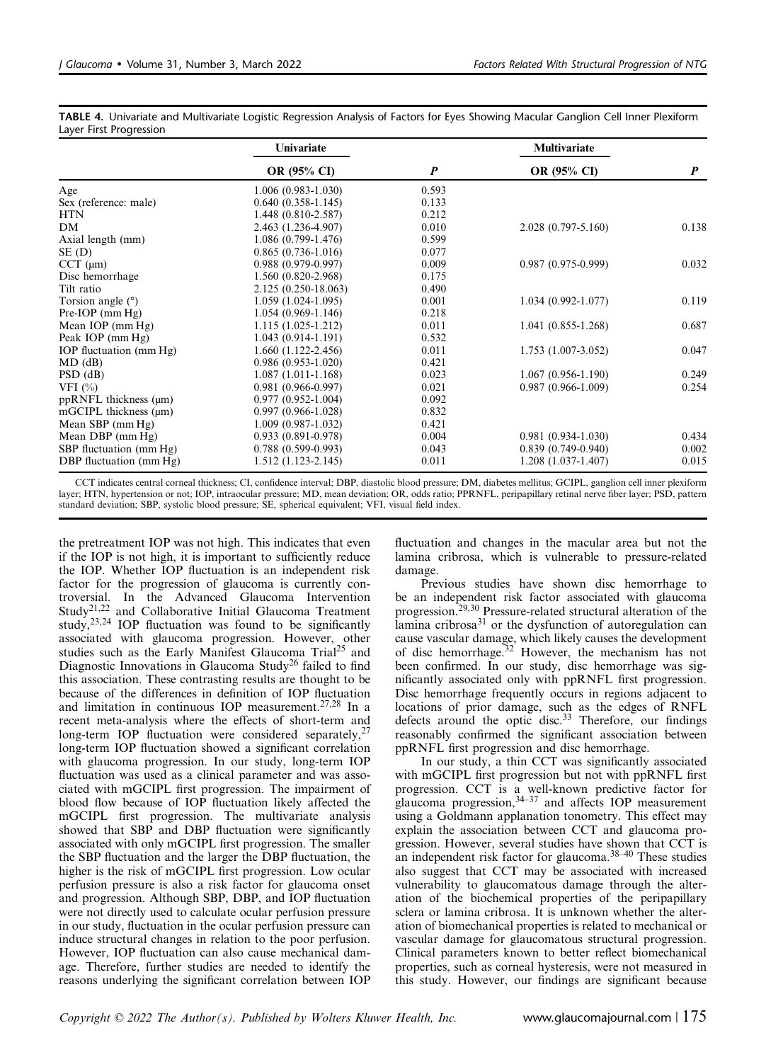|                               | Univariate             |                  | <b>Multivariate</b>    |                  |
|-------------------------------|------------------------|------------------|------------------------|------------------|
|                               | <b>OR</b> (95% CI)     | $\boldsymbol{P}$ | <b>OR (95% CI)</b>     | $\boldsymbol{P}$ |
| Age                           | $1.006(0.983 - 1.030)$ | 0.593            |                        |                  |
| Sex (reference: male)         | $0.640(0.358-1.145)$   | 0.133            |                        |                  |
| <b>HTN</b>                    | 1.448 (0.810-2.587)    | 0.212            |                        |                  |
| DM                            | 2.463 (1.236-4.907)    | 0.010            | 2.028 (0.797-5.160)    | 0.138            |
| Axial length (mm)             | 1.086 (0.799-1.476)    | 0.599            |                        |                  |
| $SE$ (D)                      | $0.865(0.736-1.016)$   | 0.077            |                        |                  |
| $CCT$ (µm)                    | $0.988(0.979-0.997)$   | 0.009            | $0.987(0.975-0.999)$   | 0.032            |
| Disc hemorrhage               | 1.560 (0.820-2.968)    | 0.175            |                        |                  |
| Tilt ratio                    | 2.125 (0.250-18.063)   | 0.490            |                        |                  |
| Torsion angle $(°)$           | $1.059(1.024-1.095)$   | 0.001            | $1.034(0.992 - 1.077)$ | 0.119            |
| $Pre-IOP$ (mm $Hg$ )          | $1.054(0.969-1.146)$   | 0.218            |                        |                  |
| Mean IOP $(mm Hg)$            | $1.115(1.025-1.212)$   | 0.011            | $1.041(0.855-1.268)$   | 0.687            |
| Peak IOP (mm Hg)              | $1.043(0.914-1.191)$   | 0.532            |                        |                  |
| IOP fluctuation (mm Hg)       | $1.660(1.122 - 2.456)$ | 0.011            | $1.753(1.007-3.052)$   | 0.047            |
| $MD$ (dB)                     | $0.986(0.953-1.020)$   | 0.421            |                        |                  |
| $PSD$ (dB)                    | $1.087(1.011-1.168)$   | 0.023            | $1.067(0.956-1.190)$   | 0.249            |
| VFI $(\% )$                   | $0.981(0.966 - 0.997)$ | 0.021            | 0.987 (0.966-1.009)    | 0.254            |
| $ppRNFL$ thickness ( $\mu$ m) | $0.977(0.952 - 1.004)$ | 0.092            |                        |                  |
| $mGCIPL$ thickness $(\mu m)$  | $0.997(0.966 - 1.028)$ | 0.832            |                        |                  |
| Mean SBP $(mm Hg)$            | $1.009(0.987-1.032)$   | 0.421            |                        |                  |
| Mean DBP $(\text{mm Hg})$     | $0.933(0.891 - 0.978)$ | 0.004            | $0.981(0.934-1.030)$   | 0.434            |
| SBP fluctuation (mm Hg)       | $0.788(0.599 - 0.993)$ | 0.043            | $0.839(0.749-0.940)$   | 0.002            |
| DBP fluctuation (mm Hg)       | $1.512(1.123-2.145)$   | 0.011            | $1.208(1.037-1.407)$   | 0.015            |

<span id="page-5-0"></span>TABLE 4. Univariate and Multivariate Logistic Regression Analysis of Factors for Eyes Showing Macular Ganglion Cell Inner Plexiform Layer First Progression

CCT indicates central corneal thickness; CI, confidence interval; DBP, diastolic blood pressure; DM, diabetes mellitus; GCIPL, ganglion cell inner plexiform layer; HTN, hypertension or not; IOP, intraocular pressure; MD, mean deviation; OR, odds ratio; PPRNFL, peripapillary retinal nerve fiber layer; PSD, pattern standard deviation; SBP, systolic blood pressure; SE, spherical equivalent; VFI, visual field index.

the pretreatment IOP was not high. This indicates that even if the IOP is not high, it is important to sufficiently reduce the IOP. Whether IOP fluctuation is an independent risk factor for the progression of glaucoma is currently controversial. In the Advanced Glaucoma Intervention Study[21,22](#page-6-0) and Collaborative Initial Glaucoma Treatment study,[23,24](#page-6-0) IOP fluctuation was found to be significantly associated with glaucoma progression. However, other studies such as the Early Manifest Glaucoma Trial<sup>25</sup> and Diagnostic Innovations in Glaucoma Study<sup>[26](#page-6-0)</sup> failed to find this association. These contrasting results are thought to be because of the differences in definition of IOP fluctuation and limitation in continuous IOP measurement.[27,28](#page-6-0) In a recent meta-analysis where the effects of short-term and long-term IOP fluctuation were considered separately, $27$ long-term IOP fluctuation showed a significant correlation with glaucoma progression. In our study, long-term IOP fluctuation was used as a clinical parameter and was associated with mGCIPL first progression. The impairment of blood flow because of IOP fluctuation likely affected the mGCIPL first progression. The multivariate analysis showed that SBP and DBP fluctuation were significantly associated with only mGCIPL first progression. The smaller the SBP fluctuation and the larger the DBP fluctuation, the higher is the risk of mGCIPL first progression. Low ocular perfusion pressure is also a risk factor for glaucoma onset and progression. Although SBP, DBP, and IOP fluctuation were not directly used to calculate ocular perfusion pressure in our study, fluctuation in the ocular perfusion pressure can induce structural changes in relation to the poor perfusion. However, IOP fluctuation can also cause mechanical damage. Therefore, further studies are needed to identify the reasons underlying the significant correlation between IOP

fluctuation and changes in the macular area but not the lamina cribrosa, which is vulnerable to pressure-related damage.

Previous studies have shown disc hemorrhage to be an independent risk factor associated with glaucoma progression.<sup>[29,30](#page-6-0)</sup> Pressure-related structural alteration of the lamina cribrosa $31$  or the dysfunction of autoregulation can cause vascular damage, which likely causes the development of disc hemorrhage.<sup>[32](#page-6-0)</sup> However, the mechanism has not been confirmed. In our study, disc hemorrhage was significantly associated only with ppRNFL first progression. Disc hemorrhage frequently occurs in regions adjacent to locations of prior damage, such as the edges of RNFL defects around the optic disc.<sup>[33](#page-7-0)</sup> Therefore, our findings reasonably confirmed the significant association between ppRNFL first progression and disc hemorrhage.

In our study, a thin CCT was significantly associated with mGCIPL first progression but not with ppRNFL first progression. CCT is a well-known predictive factor for glaucoma progression, $34-37$  $34-37$  and affects IOP measurement using a Goldmann applanation tonometry. This effect may explain the association between CCT and glaucoma progression. However, several studies have shown that CCT is an independent risk factor for glaucoma.38–[40](#page-7-0) These studies also suggest that CCT may be associated with increased vulnerability to glaucomatous damage through the alteration of the biochemical properties of the peripapillary sclera or lamina cribrosa. It is unknown whether the alteration of biomechanical properties is related to mechanical or vascular damage for glaucomatous structural progression. Clinical parameters known to better reflect biomechanical properties, such as corneal hysteresis, were not measured in this study. However, our findings are significant because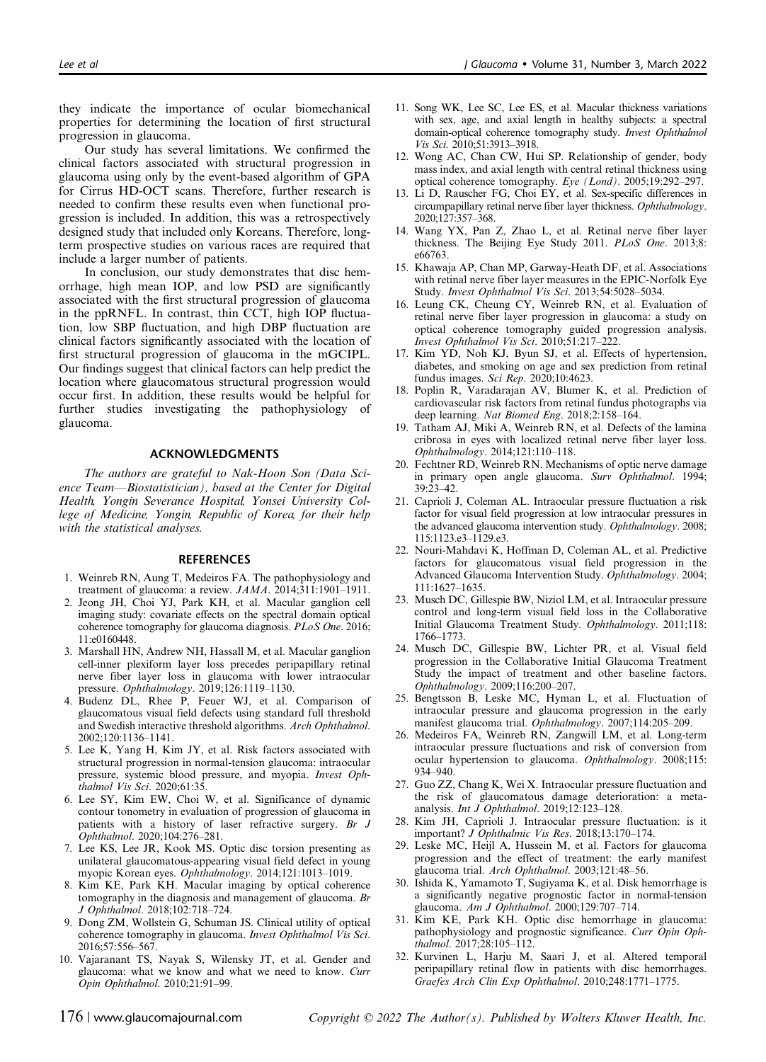<span id="page-6-0"></span>they indicate the importance of ocular biomechanical properties for determining the location of first structural progression in glaucoma.

Our study has several limitations. We confirmed the clinical factors associated with structural progression in glaucoma using only by the event-based algorithm of GPA for Cirrus HD-OCT scans. Therefore, further research is needed to confirm these results even when functional progression is included. In addition, this was a retrospectively designed study that included only Koreans. Therefore, longterm prospective studies on various races are required that include a larger number of patients.

In conclusion, our study demonstrates that disc hemorrhage, high mean IOP, and low PSD are significantly associated with the first structural progression of glaucoma in the ppRNFL. In contrast, thin CCT, high IOP fluctuation, low SBP fluctuation, and high DBP fluctuation are clinical factors significantly associated with the location of first structural progression of glaucoma in the mGCIPL. Our findings suggest that clinical factors can help predict the location where glaucomatous structural progression would occur first. In addition, these results would be helpful for further studies investigating the pathophysiology of glaucoma.

#### ACKNOWLEDGMENTS

The authors are grateful to Nak-Hoon Son (Data Science Team—Biostatistician), based at the Center for Digital Health, Yongin Severance Hospital, Yonsei University College of Medicine, Yongin, Republic of Korea, for their help with the statistical analyses.

#### **REFERENCES**

- 1. Weinreb RN, Aung T, Medeiros FA. The pathophysiology and treatment of glaucoma: a review. JAMA. 2014;311:1901–1911.
- 2. Jeong JH, Choi YJ, Park KH, et al. Macular ganglion cell imaging study: covariate effects on the spectral domain optical coherence tomography for glaucoma diagnosis. PLoS One. 2016; 11:e0160448.
- 3. Marshall HN, Andrew NH, Hassall M, et al. Macular ganglion cell-inner plexiform layer loss precedes peripapillary retinal nerve fiber layer loss in glaucoma with lower intraocular pressure. Ophthalmology. 2019;126:1119–1130.
- 4. Budenz DL, Rhee P, Feuer WJ, et al. Comparison of glaucomatous visual field defects using standard full threshold and Swedish interactive threshold algorithms. Arch Ophthalmol. 2002;120:1136–1141.
- 5. Lee K, Yang H, Kim JY, et al. Risk factors associated with structural progression in normal-tension glaucoma: intraocular pressure, systemic blood pressure, and myopia. Invest Ophthalmol Vis Sci. 2020;61:35.
- 6. Lee SY, Kim EW, Choi W, et al. Significance of dynamic contour tonometry in evaluation of progression of glaucoma in patients with a history of laser refractive surgery. Br J Ophthalmol. 2020;104:276–281.
- 7. Lee KS, Lee JR, Kook MS. Optic disc torsion presenting as unilateral glaucomatous-appearing visual field defect in young myopic Korean eyes. Ophthalmology. 2014;121:1013–1019.
- 8. Kim KE, Park KH. Macular imaging by optical coherence tomography in the diagnosis and management of glaucoma. Br J Ophthalmol. 2018;102:718–724.
- 9. Dong ZM, Wollstein G, Schuman JS. Clinical utility of optical coherence tomography in glaucoma. Invest Ophthalmol Vis Sci. 2016;57:556–567.
- 10. Vajaranant TS, Nayak S, Wilensky JT, et al. Gender and glaucoma: what we know and what we need to know. Curr Opin Ophthalmol. 2010;21:91–99.
- 11. Song WK, Lee SC, Lee ES, et al. Macular thickness variations with sex, age, and axial length in healthy subjects: a spectral domain-optical coherence tomography study. Invest Ophthalmol Vis Sci. 2010;51:3913–3918.
- 12. Wong AC, Chan CW, Hui SP. Relationship of gender, body mass index, and axial length with central retinal thickness using optical coherence tomography. Eye (Lond). 2005;19:292–297.
- 13. Li D, Rauscher FG, Choi EY, et al. Sex-specific differences in circumpapillary retinal nerve fiber layer thickness. Ophthalmology. 2020;127:357–368.
- 14. Wang YX, Pan Z, Zhao L, et al. Retinal nerve fiber layer thickness. The Beijing Eye Study 2011. PLoS One. 2013;8: e66763.
- 15. Khawaja AP, Chan MP, Garway-Heath DF, et al. Associations with retinal nerve fiber layer measures in the EPIC-Norfolk Eye Study. Invest Ophthalmol Vis Sci. 2013;54:5028–5034.
- 16. Leung CK, Cheung CY, Weinreb RN, et al. Evaluation of retinal nerve fiber layer progression in glaucoma: a study on optical coherence tomography guided progression analysis. Invest Ophthalmol Vis Sci. 2010;51:217–222.
- 17. Kim YD, Noh KJ, Byun SJ, et al. Effects of hypertension, diabetes, and smoking on age and sex prediction from retinal fundus images. Sci Rep. 2020;10:4623.
- 18. Poplin R, Varadarajan AV, Blumer K, et al. Prediction of cardiovascular risk factors from retinal fundus photographs via deep learning. Nat Biomed Eng. 2018;2:158–164.
- 19. Tatham AJ, Miki A, Weinreb RN, et al. Defects of the lamina cribrosa in eyes with localized retinal nerve fiber layer loss. Ophthalmology. 2014;121:110–118.
- 20. Fechtner RD, Weinreb RN. Mechanisms of optic nerve damage in primary open angle glaucoma. Surv Ophthalmol. 1994; 39:23–42.
- 21. Caprioli J, Coleman AL. Intraocular pressure fluctuation a risk factor for visual field progression at low intraocular pressures in the advanced glaucoma intervention study. Ophthalmology. 2008; 115:1123.e3–1129.e3.
- 22. Nouri-Mahdavi K, Hoffman D, Coleman AL, et al. Predictive factors for glaucomatous visual field progression in the Advanced Glaucoma Intervention Study. Ophthalmology. 2004; 111:1627–1635.
- 23. Musch DC, Gillespie BW, Niziol LM, et al. Intraocular pressure control and long-term visual field loss in the Collaborative Initial Glaucoma Treatment Study. Ophthalmology. 2011;118: 1766–1773.
- 24. Musch DC, Gillespie BW, Lichter PR, et al. Visual field progression in the Collaborative Initial Glaucoma Treatment Study the impact of treatment and other baseline factors. Ophthalmology. 2009;116:200–207.
- 25. Bengtsson B, Leske MC, Hyman L, et al. Fluctuation of intraocular pressure and glaucoma progression in the early manifest glaucoma trial. Ophthalmology. 2007;114:205–209.
- 26. Medeiros FA, Weinreb RN, Zangwill LM, et al. Long-term intraocular pressure fluctuations and risk of conversion from ocular hypertension to glaucoma. Ophthalmology. 2008;115: 934–940.
- 27. Guo ZZ, Chang K, Wei X. Intraocular pressure fluctuation and the risk of glaucomatous damage deterioration: a metaanalysis. Int J Ophthalmol. 2019;12:123–128.
- 28. Kim JH, Caprioli J. Intraocular pressure fluctuation: is it important? J Ophthalmic Vis Res. 2018;13:170–174.
- 29. Leske MC, Heijl A, Hussein M, et al. Factors for glaucoma progression and the effect of treatment: the early manifest glaucoma trial. Arch Ophthalmol. 2003;121:48–56.
- 30. Ishida K, Yamamoto T, Sugiyama K, et al. Disk hemorrhage is a significantly negative prognostic factor in normal-tension glaucoma. Am J Ophthalmol. 2000;129:707-714.
- 31. Kim KE, Park KH. Optic disc hemorrhage in glaucoma: pathophysiology and prognostic significance. Curr Opin Ophthalmol. 2017;28:105–112.
- 32. Kurvinen L, Harju M, Saari J, et al. Altered temporal peripapillary retinal flow in patients with disc hemorrhages. Graefes Arch Clin Exp Ophthalmol. 2010;248:1771–1775.